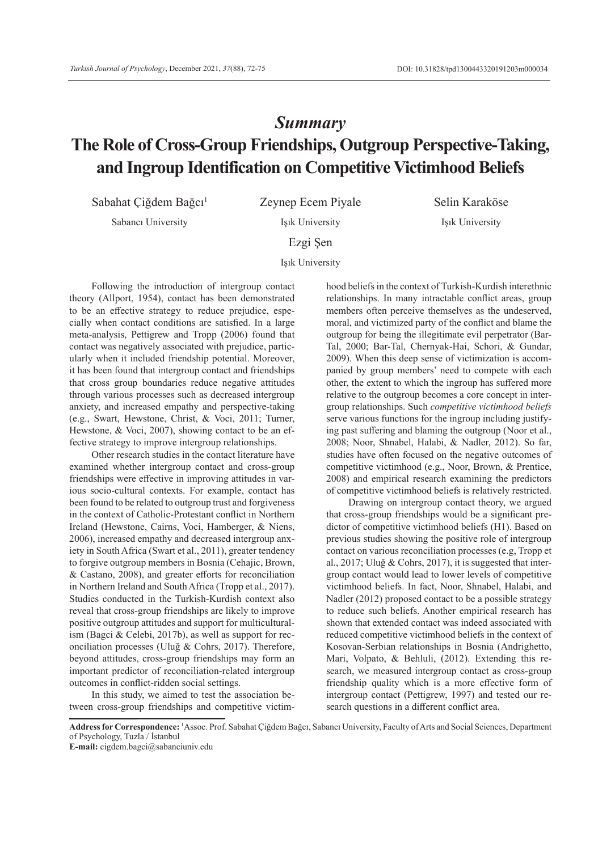# *Summary* **The Role of Cross-Group Friendships, Outgroup Perspective-Taking, and Ingroup Identification on Competitive Victimhood Beliefs**

Sabahat Çiğdem Bağcı<sup>1</sup> Zeynep Ecem Piyale Selin Karaköse

Sabancı University Işık University Işık University

Ezgi Şen

Işık University

Following the introduction of intergroup contact theory (Allport, 1954), contact has been demonstrated to be an effective strategy to reduce prejudice, especially when contact conditions are satisfied. In a large meta-analysis, Pettigrew and Tropp (2006) found that contact was negatively associated with prejudice, particularly when it included friendship potential. Moreover, it has been found that intergroup contact and friendships that cross group boundaries reduce negative attitudes through various processes such as decreased intergroup anxiety, and increased empathy and perspective-taking (e.g., Swart, Hewstone, Christ, & Voci, 2011; Turner, Hewstone, & Voci, 2007), showing contact to be an effective strategy to improve intergroup relationships.

Other research studies in the contact literature have examined whether intergroup contact and cross-group friendships were effective in improving attitudes in various socio-cultural contexts. For example, contact has been found to be related to outgroup trust and forgiveness in the context of Catholic-Protestant conflict in Northern Ireland (Hewstone, Cairns, Voci, Hamberger, & Niens, 2006), increased empathy and decreased intergroup anxiety in South Africa (Swart et al., 2011), greater tendency to forgive outgroup members in Bosnia (Cehajic, Brown, & Castano, 2008), and greater efforts for reconciliation in Northern Ireland and South Africa (Tropp et al., 2017). Studies conducted in the Turkish-Kurdish context also reveal that cross-group friendships are likely to improve positive outgroup attitudes and support for multiculturalism (Bagci & Celebi, 2017b), as well as support for reconciliation processes (Uluğ & Cohrs, 2017). Therefore, beyond attitudes, cross-group friendships may form an important predictor of reconciliation-related intergroup outcomes in conflict-ridden social settings.

In this study, we aimed to test the association between cross-group friendships and competitive victimhood beliefs in the context of Turkish-Kurdish interethnic relationships. In many intractable conflict areas, group members often perceive themselves as the undeserved, moral, and victimized party of the conflict and blame the outgroup for being the illegitimate evil perpetrator (Bar-Tal, 2000; Bar-Tal, Chernyak-Hai, Schori, & Gundar, 2009). When this deep sense of victimization is accompanied by group members' need to compete with each other, the extent to which the ingroup has suffered more relative to the outgroup becomes a core concept in intergroup relationships. Such *competitive victimhood beliefs* serve various functions for the ingroup including justifying past suffering and blaming the outgroup (Noor et al., 2008; Noor, Shnabel, Halabi, & Nadler, 2012). So far, studies have often focused on the negative outcomes of competitive victimhood (e.g., Noor, Brown, & Prentice, 2008) and empirical research examining the predictors of competitive victimhood beliefs is relatively restricted.

Drawing on intergroup contact theory, we argued that cross-group friendships would be a significant predictor of competitive victimhood beliefs (H1). Based on previous studies showing the positive role of intergroup contact on various reconciliation processes (e.g, Tropp et al., 2017; Uluğ & Cohrs, 2017), it is suggested that intergroup contact would lead to lower levels of competitive victimhood beliefs. In fact, Noor, Shnabel, Halabi, and Nadler (2012) proposed contact to be a possible strategy to reduce such beliefs. Another empirical research has shown that extended contact was indeed associated with reduced competitive victimhood beliefs in the context of Kosovan-Serbian relationships in Bosnia (Andrighetto, Mari, Volpato, & Behluli, (2012). Extending this research, we measured intergroup contact as cross-group friendship quality which is a more effective form of intergroup contact (Pettigrew, 1997) and tested our research questions in a different conflict area.

**Address for Correspondence:** <sup>1</sup> Assoc. Prof. Sabahat Çiğdem Bağcı, Sabancı University, Faculty of Arts and Social Sciences, Department of Psychology, Tuzla / İstanbul

**E-mail:** cigdem.bagci@sabanciuniv.edu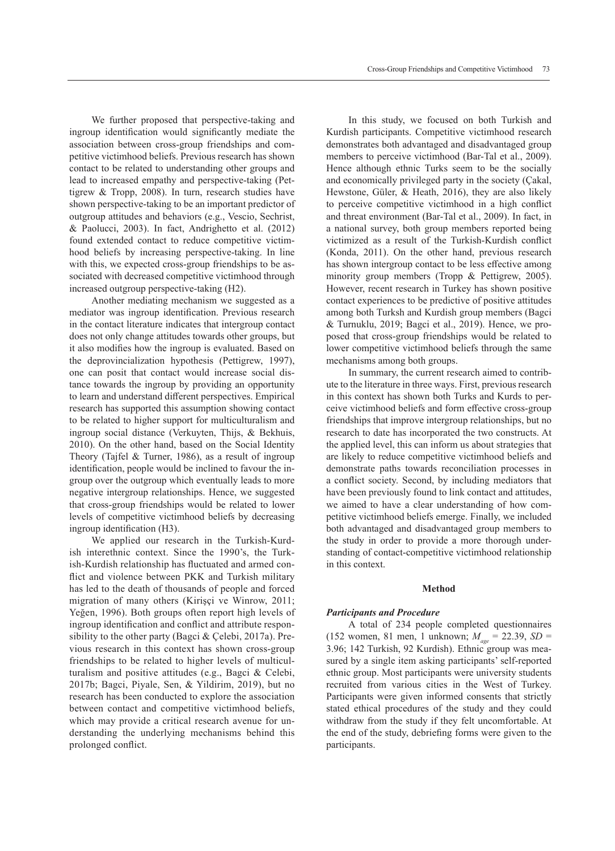We further proposed that perspective-taking and ingroup identification would significantly mediate the association between cross-group friendships and competitive victimhood beliefs. Previous research has shown contact to be related to understanding other groups and lead to increased empathy and perspective-taking (Pettigrew & Tropp, 2008). In turn, research studies have shown perspective-taking to be an important predictor of outgroup attitudes and behaviors (e.g., Vescio, Sechrist, & Paolucci, 2003). In fact, Andrighetto et al. (2012) found extended contact to reduce competitive victimhood beliefs by increasing perspective-taking. In line with this, we expected cross-group friendships to be associated with decreased competitive victimhood through increased outgroup perspective-taking (H2).

Another mediating mechanism we suggested as a mediator was ingroup identification. Previous research in the contact literature indicates that intergroup contact does not only change attitudes towards other groups, but it also modifies how the ingroup is evaluated. Based on the deprovincialization hypothesis (Pettigrew, 1997), one can posit that contact would increase social distance towards the ingroup by providing an opportunity to learn and understand different perspectives. Empirical research has supported this assumption showing contact to be related to higher support for multiculturalism and ingroup social distance (Verkuyten, Thijs, & Bekhuis, 2010). On the other hand, based on the Social Identity Theory (Tajfel & Turner, 1986), as a result of ingroup identification, people would be inclined to favour the ingroup over the outgroup which eventually leads to more negative intergroup relationships. Hence, we suggested that cross-group friendships would be related to lower levels of competitive victimhood beliefs by decreasing ingroup identification (H3).

We applied our research in the Turkish-Kurdish interethnic context. Since the 1990's, the Turkish-Kurdish relationship has fluctuated and armed conflict and violence between PKK and Turkish military has led to the death of thousands of people and forced migration of many others (Kirişçi ve Winrow, 2011; Yeğen, 1996). Both groups often report high levels of ingroup identification and conflict and attribute responsibility to the other party (Bagci & Çelebi, 2017a). Previous research in this context has shown cross-group friendships to be related to higher levels of multiculturalism and positive attitudes (e.g., Bagci & Celebi, 2017b; Bagci, Piyale, Sen, & Yildirim, 2019), but no research has been conducted to explore the association between contact and competitive victimhood beliefs, which may provide a critical research avenue for understanding the underlying mechanisms behind this prolonged conflict.

In this study, we focused on both Turkish and Kurdish participants. Competitive victimhood research demonstrates both advantaged and disadvantaged group members to perceive victimhood (Bar-Tal et al., 2009). Hence although ethnic Turks seem to be the socially and economically privileged party in the society (Çakal, Hewstone, Güler, & Heath, 2016), they are also likely to perceive competitive victimhood in a high conflict and threat environment (Bar-Tal et al., 2009). In fact, in a national survey, both group members reported being victimized as a result of the Turkish-Kurdish conflict (Konda, 2011). On the other hand, previous research has shown intergroup contact to be less effective among minority group members (Tropp & Pettigrew, 2005). However, recent research in Turkey has shown positive contact experiences to be predictive of positive attitudes among both Turksh and Kurdish group members (Bagci & Turnuklu, 2019; Bagci et al., 2019). Hence, we proposed that cross-group friendships would be related to lower competitive victimhood beliefs through the same mechanisms among both groups.

In summary, the current research aimed to contribute to the literature in three ways. First, previous research in this context has shown both Turks and Kurds to perceive victimhood beliefs and form effective cross-group friendships that improve intergroup relationships, but no research to date has incorporated the two constructs. At the applied level, this can inform us about strategies that are likely to reduce competitive victimhood beliefs and demonstrate paths towards reconciliation processes in a conflict society. Second, by including mediators that have been previously found to link contact and attitudes, we aimed to have a clear understanding of how competitive victimhood beliefs emerge. Finally, we included both advantaged and disadvantaged group members to the study in order to provide a more thorough understanding of contact-competitive victimhood relationship in this context.

## **Method**

#### *Participants and Procedure*

A total of 234 people completed questionnaires (152 women, 81 men, 1 unknown;  $M_{\text{gas}} = 22.39$ ,  $SD =$ 3.96; 142 Turkish, 92 Kurdish). Ethnic group was measured by a single item asking participants' self-reported ethnic group. Most participants were university students recruited from various cities in the West of Turkey. Participants were given informed consents that strictly stated ethical procedures of the study and they could withdraw from the study if they felt uncomfortable. At the end of the study, debriefing forms were given to the participants.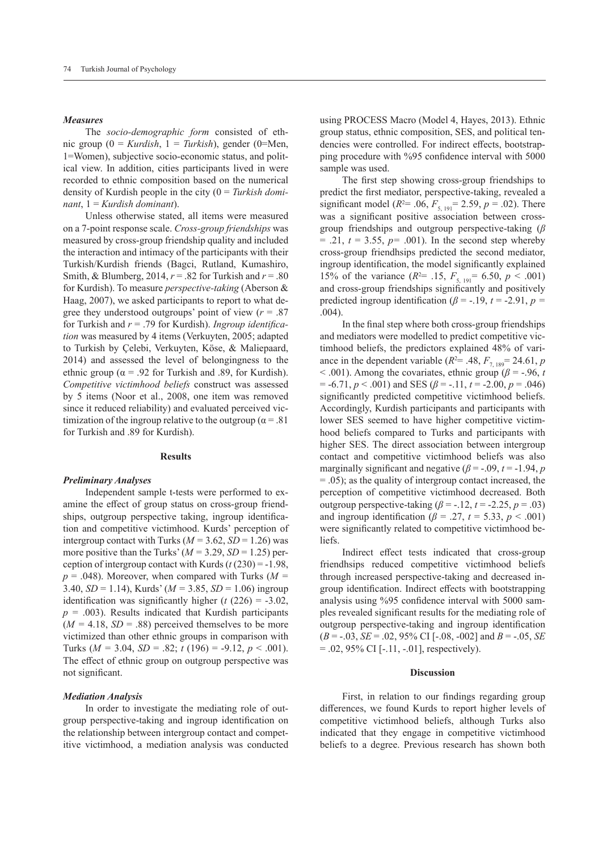### *Measures*

The *socio-demographic form* consisted of ethnic group (0 = *Kurdish*, 1 = *Turkish*), gender (0=Men, 1=Women), subjective socio-economic status, and political view. In addition, cities participants lived in were recorded to ethnic composition based on the numerical density of Kurdish people in the city (0 = *Turkish dominant*, 1 = *Kurdish dominant*).

Unless otherwise stated, all items were measured on a 7-point response scale. *Cross-group friendships* was measured by cross-group friendship quality and included the interaction and intimacy of the participants with their Turkish/Kurdish friends (Bagci, Rutland, Kumashiro, Smith, & Blumberg, 2014, *r* = .82 for Turkish and *r* = .80 for Kurdish). To measure *perspective-taking* (Aberson & Haag, 2007), we asked participants to report to what degree they understood outgroups' point of view  $(r = .87)$ for Turkish and *r* = .79 for Kurdish). *Ingroup identification* was measured by 4 items (Verkuyten, 2005; adapted to Turkish by Çelebi, Verkuyten, Köse, & Maliepaard, 2014) and assessed the level of belongingness to the ethnic group ( $\alpha$  = .92 for Turkish and .89, for Kurdish). *Competitive victimhood beliefs* construct was assessed by 5 items (Noor et al., 2008, one item was removed since it reduced reliability) and evaluated perceived victimization of the ingroup relative to the outgroup ( $\alpha = .81$ ) for Turkish and .89 for Kurdish).

## **Results**

## *Preliminary Analyses*

Independent sample t-tests were performed to examine the effect of group status on cross-group friendships, outgroup perspective taking, ingroup identification and competitive victimhood. Kurds' perception of intergroup contact with Turks  $(M = 3.62, SD = 1.26)$  was more positive than the Turks'  $(M = 3.29, SD = 1.25)$  perception of intergroup contact with Kurds (*t* (230) = -1.98, *p* = .048). Moreover, when compared with Turks (*M =* 3.40, *SD* = 1.14), Kurds' (*M =* 3.85, *SD* = 1.06) ingroup identification was significantly higher  $(t (226) = -3.02$ ,  $p = .003$ ). Results indicated that Kurdish participants  $(M = 4.18, SD = .88)$  perceived themselves to be more victimized than other ethnic groups in comparison with Turks (*M =* 3.04, *SD* = .82; *t* (196) = -9.12, *p* < .001). The effect of ethnic group on outgroup perspective was not significant.

#### *Mediation Analysis*

In order to investigate the mediating role of outgroup perspective-taking and ingroup identification on the relationship between intergroup contact and competitive victimhood, a mediation analysis was conducted using PROCESS Macro (Model 4, Hayes, 2013). Ethnic group status, ethnic composition, SES, and political tendencies were controlled. For indirect effects, bootstrapping procedure with %95 confidence interval with 5000 sample was used.

The first step showing cross-group friendships to predict the first mediator, perspective-taking, revealed a significant model ( $R^2$  = .06,  $F_{5, 191}$  = 2.59,  $p$  = .02). There was a significant positive association between crossgroup friendships and outgroup perspective-taking (*β*   $= .21, t = 3.55, p = .001$ . In the second step whereby cross-group friendhsips predicted the second mediator, ingroup identification, the model significantly explained 15% of the variance  $(R^{2} = .15, F_{5, 191} = 6.50, p < .001)$ and cross-group friendships significantly and positively predicted ingroup identification ( $\beta$  = -.19,  $t$  = -2.91,  $p$  = .004).

In the final step where both cross-group friendships and mediators were modelled to predict competitive victimhood beliefs, the predictors explained 48% of variance in the dependent variable  $(R^2 = .48, F_{7, 189} = 24.61, p$  $<$  .001). Among the covariates, ethnic group ( $\beta$  = -.96, *t*  $= -6.71, p < .001$ ) and SES ( $\beta = -.11, t = -2.00, p = .046$ ) significantly predicted competitive victimhood beliefs. Accordingly, Kurdish participants and participants with lower SES seemed to have higher competitive victimhood beliefs compared to Turks and participants with higher SES. The direct association between intergroup contact and competitive victimhood beliefs was also marginally significant and negative ( $\beta$  = -.09, *t* = -1.94, *p* = .05); as the quality of intergroup contact increased, the perception of competitive victimhood decreased. Both outgroup perspective-taking  $(\beta = -12, t = -2.25, p = .03)$ and ingroup identification ( $\beta$  = .27,  $t$  = 5.33,  $p$  < .001) were significantly related to competitive victimhood beliefs.

Indirect effect tests indicated that cross-group friendhsips reduced competitive victimhood beliefs through increased perspective-taking and decreased ingroup identification. Indirect effects with bootstrapping analysis using %95 confidence interval with 5000 samples revealed significant results for the mediating role of outgroup perspective-taking and ingroup identification (*B* = -.03, *SE* = .02, 95% CI [-.08, -002] and *B* = -.05, *SE*  $= .02, 95\% \text{ CI}$  [-.11, -.01], respectively).

#### **Discussion**

First, in relation to our findings regarding group differences, we found Kurds to report higher levels of competitive victimhood beliefs, although Turks also indicated that they engage in competitive victimhood beliefs to a degree. Previous research has shown both